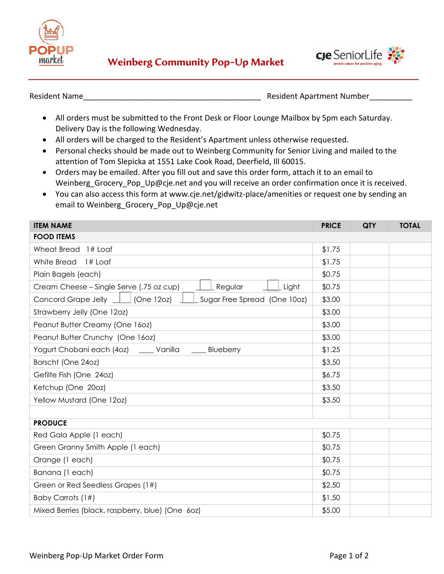



Resident Name\_\_\_\_\_\_\_\_\_\_\_\_\_\_\_\_\_\_\_\_\_\_\_\_\_\_\_\_\_\_\_\_\_\_\_\_\_\_\_\_\_ Resident Apartment Number\_\_\_\_\_\_\_\_\_\_

- All orders must be submitted to the Front Desk or Floor Lounge Mailbox by 5pm each Saturday. Delivery Day is the following Wednesday.
- All orders will be charged to the Resident's Apartment unless otherwise requested.
- Personal checks should be made out to Weinberg Community for Senior Living and mailed to the attention of Tom Slepicka at 1551 Lake Cook Road, Deerfield, Ill 60015.
- Orders may be emailed. After you fill out and save this order form, attach it to an email to Weinberg Grocery Pop Up@cje.net and you will receive an order confirmation once it is received.
- You can also access this form at www.cje.net/gidwitz-place/amenities or request one by sending an email to Weinberg\_Grocery\_Pop\_Up@cje.net

| <b>ITEM NAME</b>                                                      | <b>PRICE</b> | <b>QTY</b> | <b>TOTAL</b> |  |  |
|-----------------------------------------------------------------------|--------------|------------|--------------|--|--|
| <b>FOOD ITEMS</b>                                                     |              |            |              |  |  |
| Wheat Bread 1# Loaf                                                   | \$1.75       |            |              |  |  |
| White Bread 1# Loaf                                                   | \$1.75       |            |              |  |  |
| Plain Bagels (each)                                                   | \$0.75       |            |              |  |  |
| Regular<br>Cream Cheese - Single Serve (.75 oz cup)<br>Light          | \$0.75       |            |              |  |  |
| Concord Grape Jelly $\Box$ (One 12oz)<br>Sugar Free Spread (One 10oz) | \$3.00       |            |              |  |  |
| Strawberry Jelly (One 12oz)                                           | \$3.00       |            |              |  |  |
| Peanut Butter Creamy (One 160z)                                       | \$3.00       |            |              |  |  |
| Peanut Butter Crunchy (One 160z)                                      | \$3.00       |            |              |  |  |
| Yogurt Chobani each (4oz) ____ Vanilla ____ Blueberry                 | \$1.25       |            |              |  |  |
| Borscht (One 24oz)                                                    | \$3.50       |            |              |  |  |
| Gefilte Fish (One 24oz)                                               | \$6.75       |            |              |  |  |
| Ketchup (One 20oz)                                                    | \$3.50       |            |              |  |  |
| Yellow Mustard (One 12oz)                                             | \$3.50       |            |              |  |  |
|                                                                       |              |            |              |  |  |
| <b>PRODUCE</b>                                                        |              |            |              |  |  |
| Red Gala Apple (1 each)                                               | \$0.75       |            |              |  |  |
| Green Granny Smith Apple (1 each)                                     | \$0.75       |            |              |  |  |
| Orange (1 each)                                                       | \$0.75       |            |              |  |  |
| Banana (1 each)                                                       | \$0.75       |            |              |  |  |
| Green or Red Seedless Grapes (1#)                                     | \$2.50       |            |              |  |  |
| Baby Carrots (1#)                                                     | \$1.50       |            |              |  |  |
| Mixed Berries (black, raspberry, blue) (One 60z)                      | \$5.00       |            |              |  |  |